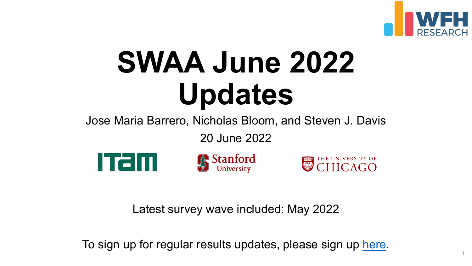# **SWAA June 2 Updates**

Jose Maria Barrero, Nicholas Bloom, and

20 June 2022



Stanford

Latest survey wave included: Ma

To sign up for regular results updates, please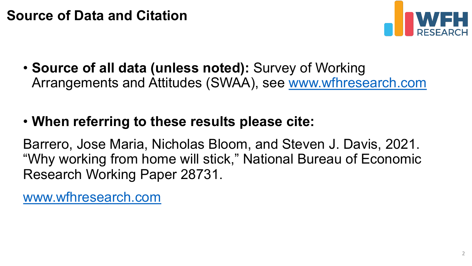## **Source of Data and Citation**

• **[Source of all data \(u](http://www.wfhresearch.com/)nless noted):** Survey Arrangements and Attitudes (SWAA), see w

## • When referring to these results please cit

Barrero, Jose Maria, Nicholas Bloom, and Ste "Why working from home will stick," National E Research Working Paper 28731.

www.wfhresearch.com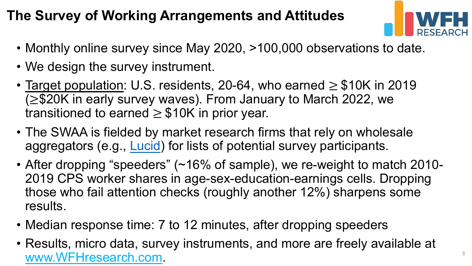# **The Survey of Wor[king A](https://luc.id/about-us/)rrangements and Attitude**

- Monthly online survey since May 2020, >100,000
- We design the survey instrument.
- Target population: U.S. residents, 20-64, who earned  $(≥$ \$20K in early survey waves). From January to transitioned to earned  $\geq$  \$10K in prior year.
- The SWAA is fielded by market research firms th aggregators (e.g., Lucid) for lists of potential survey
- After dropping "speeders" ( $~16\%$  of sample), we 2019 CPS worker shares in age-sex-education-e those who fail attention checks (roughly another results.
- Median response time: 7 to 12 minutes, after dro
- Results, micro data, survey instruments, and more www.WFHresearch.com. 3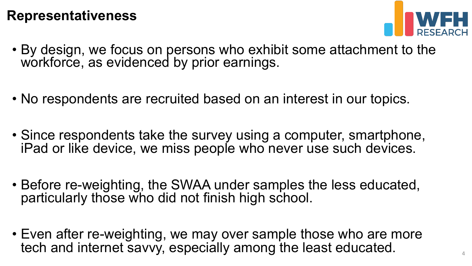#### **Representativeness**



- By design, we focus on persons who exhibit some attachment to the workforce, as evidenced by prior earnings.
- No respondents are recruited based on an interest in our topics.
- Since respondents take the survey using a computer, smartphone, iPad or like device, we miss people who never use such devices.
- Before re-weighting, the SWAA under samples the less educated, particularly those who did not finish high school.
- Even after re-weighting, we may over sample those who are more tech and internet savvy, especially among the least educated.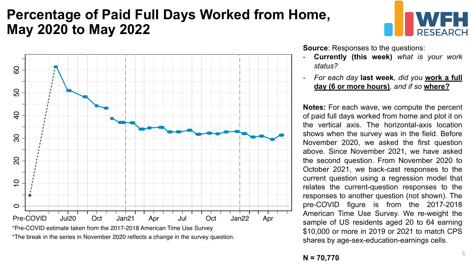#### **Percentage of Paid Full Days Worked from Home, May 2020 to May 2022**





\*Pre-COVID estimate taken from the 2017-2018 American Time Use Survey \*The break in the series in November 2020 reflects a change in the survey question. **Source:** Responses to the questions:

- **Currently (this week)** *what is your work status?*
- *For each day* **last week***, did you* **work a full day (6 or more hours)***, and if so* **where?**

**Notes:** For each wave, we compute the percent of paid full days worked from home and plot it on the vertical axis. The horizontal-axis location shows when the survey was in the field. Before November 2020, we asked the first question above. Since November 2021, we have asked the second question. From November 2020 to October 2021, we back-cast responses to the current question using a regression model that relates the current-question responses to the responses to another question (not shown). The pre-COVID figure is from the 2017-2018 American Time Use Survey. We re-weight the sample of US residents aged 20 to 64 earning \$10,000 or more in 2019 or 2021 to match CPS shares by age-sex-education-earnings cells.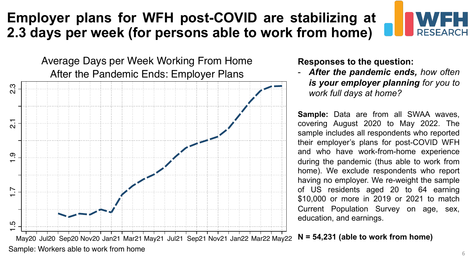#### **Employer plans for WFH post-COVID are stabilizing at 2.3 days per week (for persons able to work from home)**

After the Pandemic Ends: Employer Plans Average Days per Week Working From Home **Responses to the question:**



- *After the pandemic ends, how often is your employer planning for you to work full days at home?*

**Sample:** Data are from all SWAA waves, covering August 2020 to May 2022. The sample includes all respondents who reported their employer's plans for post-COVID WFH and who have work-from-home experience during the pandemic (thus able to work from home). We exclude respondents who report having no employer. We re-weight the sample of US residents aged 20 to 64 earning \$10,000 or more in 2019 or 2021 to match Current Population Survey on age, sex, education, and earnings.

**N = 54,231 (able to work from home)**

Sample: Workers able to work from home

**FSFARCH**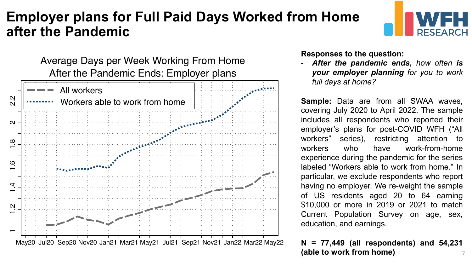#### **Employer plans for Full Paid Days Worked from Home after the Pandemic**

After the Pandemic Ends: Employer plans Responses to the question:<br>Average Days per Week Working From Home **Responses to the pandemic end** 



- *After the pandemic ends, how often is your employer planning for you to work full days at home?*

**Sample:** Data are from all SWAA waves, covering July 2020 to April 2022. The sample includes all respondents who reported their employer's plans for post-COVID WFH ("All workers" series), restricting attention to workers who have work-from-home experience during the pandemic for the series labeled "Workers able to work from home." In particular, we exclude respondents who report having no employer. We re-weight the sample of US residents aged 20 to 64 earning \$10,000 or more in 2019 or 2021 to match Current Population Survey on age, sex, education, and earnings.

#### **N = 77,449 (all respondents) and 54,231 (able to work from home)** 7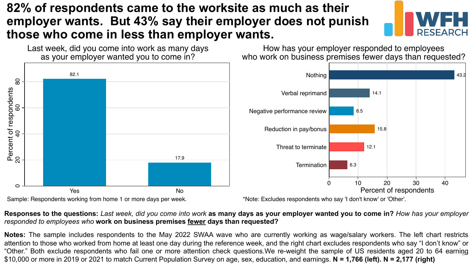#### **82% of respondents came to the worksite as much as their employer wants. But 43% say their employer does not punish those who come in less than employer wants.**



43.2



How has your employer responded to employees who work on business premises fewer days than requested?

12.1

15.8

14.1

Responses to the questions: Last week, did you come into work as many days as your employer wanted you to come in? How has your employer *responded to employees who* **work on business premises fewer days than requested?**

**Notes:** The sample includes respondents to the May 2022 SWAA wave who are currently working as wage/salary workers. The left chart restricts attention to those who worked from home at least one day during the reference week, and the right chart excludes respondents who say "I don't know" or "Other." Both exclude respondents who fail one or more attention check questions.We re-weight the sample of US residents aged 20 to 64 earning 8\$10,000 or more in 2019 or 2021 to match Current Population Survey on age, sex, education, and earnings. **N = 1,766 (left). N = 2,177 (right)**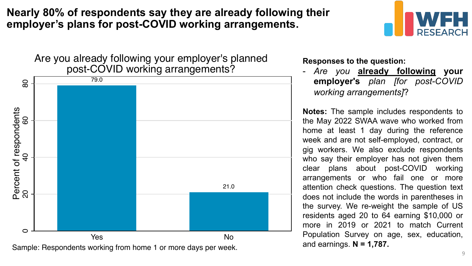**Nearly 80% of respondents say they are already following their employer's plans for post-COVID working arrangements.** 



Are you already following your employer's planned

Sample: Respondents working from home 1 or more days per week.

**Responses to the question:**

- *Are you* **already following your employer's** *plan [for post-COVID working arrangements]*?

**Notes:** The sample includes respondents to the May 2022 SWAA wave who worked from home at least 1 day during the reference week and are not self-employed, contract, or gig workers. We also exclude respondents who say their employer has not given them clear plans about post-COVID working arrangements or who fail one or more attention check questions. The question text does not include the words in parentheses in the survey. We re-weight the sample of US residents aged 20 to 64 earning \$10,000 or more in 2019 or 2021 to match Current Population Survey on age, sex, education, and earnings. **N = 1,787.**

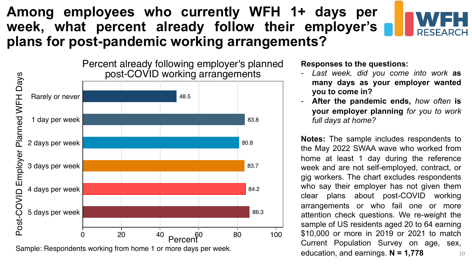#### **Among employees who currently WFH 1+ days per week, what percent already follow their employer's plans for post-pandemic working arrangements?**



Percent already following employer's planned post-COVID working arrangements



Sample: Respondents working from home 1 or more days per week.

**Responses to the questions:**

- *Last week, did you come into work* **as many days as your employer wanted you to come in?**
- **After the pandemic ends,** *how often* **is your employer planning** *for you to work full days at home?*

**Notes:** The sample includes respondents to the May 2022 SWAA wave who worked from home at least 1 day during the reference week and are not self-employed, contract, or gig workers. The chart excludes respondents who say their employer has not given them clear plans about post-COVID working arrangements or who fail one or more attention check questions. We re-weight the sample of US residents aged 20 to 64 earning \$10,000 or more in 2019 or 2021 to match Current Population Survey on age, sex, education, and earnings. **N = 1,778** 10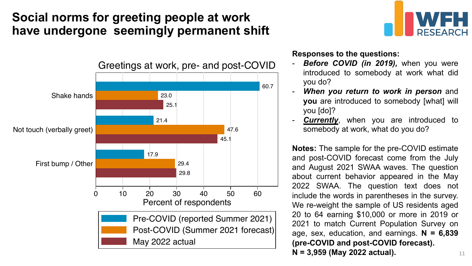#### **Social norms for greeting people at work have undergone seemingly permanent shift**



**Responses to the questions:**

*Before COVID (in 2019), when you were* introduced to somebody at work what did you do?

**DESEARCH** 

- *When you return to work in person* and **you** are introduced to somebody [what] will you [do]?
- **Currently**, when you are introduced to somebody at work, what do you do?

**Notes:** The sample for the pre-COVID estimate and post-COVID forecast come from the July and August 2021 SWAA waves. The question about current behavior appeared in the May 2022 SWAA. The question text does not include the words in parentheses in the survey. We re-weight the sample of US residents aged 20 to 64 earning \$10,000 or more in 2019 or 2021 to match Current Population Survey on age, sex, education, and earnings. **N = 6,839 (pre-COVID and post-COVID forecast). N = 3,959 (May 2022 actual).** 11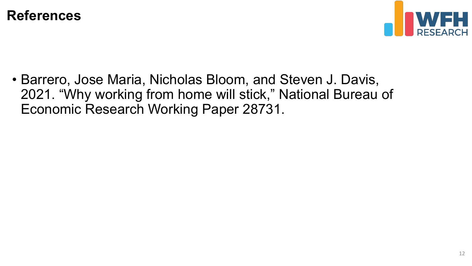



• Barrero, Jose Maria, Nicholas Bloom, and Steven J. Davis, 2021. "Why working from home will stick," National Bureau of Economic Research Working Paper 28731.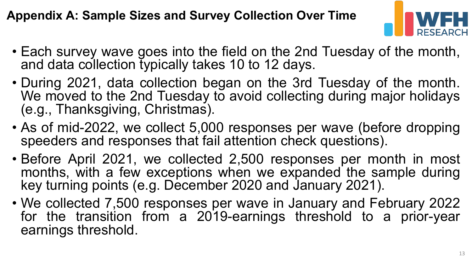#### **Appendix A: Sample Sizes and Survey Collection Over Time**



- Each survey wave goes into the field on the 2nd Tuesday of the month, and data collection typically takes 10 to 12 days.
- During 2021, data collection began on the 3rd Tuesday of the month. We moved to the 2nd Tuesday to avoid collecting during major holidays (e.g., Thanksgiving, Christmas).
- As of mid-2022, we collect 5,000 responses per wave (before dropping speeders and responses that fail attention check questions).
- Before April 2021, we collected 2,500 responses per month in most months, with a few exceptions when we expanded the sample during key turning points (e.g. December 2020 and January 2021).
- We collected 7,500 responses per wave in January and February 2022 for the transition from a 2019-earnings threshold to a prior-year earnings threshold.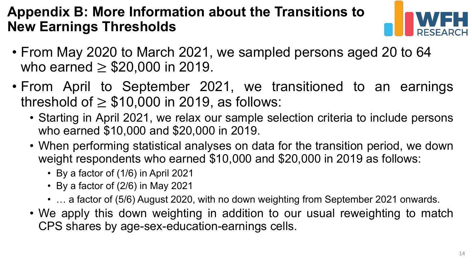#### **Appendix B: More Information about the Transitions to New Earnings Thresholds**



- From May 2020 to March 2021, we sampled persons aged 20 to 64 who earned  $\geq$  \$20,000 in 2019.
- From April to September 2021, we transitioned to an earnings threshold of  $\geq$  \$10,000 in 2019, as follows:
	- Starting in April 2021, we relax our sample selection criteria to include persons who earned \$10,000 and \$20,000 in 2019.
	- When performing statistical analyses on data for the transition period, we down weight respondents who earned \$10,000 and \$20,000 in 2019 as follows:
		- By a factor of (1/6) in April 2021
		- By a factor of (2/6) in May 2021
		- ... a factor of (5/6) August 2020, with no down weighting from September 2021 onwards.
	- We apply this down weighting in addition to our usual reweighting to match CPS shares by age-sex-education-earnings cells.